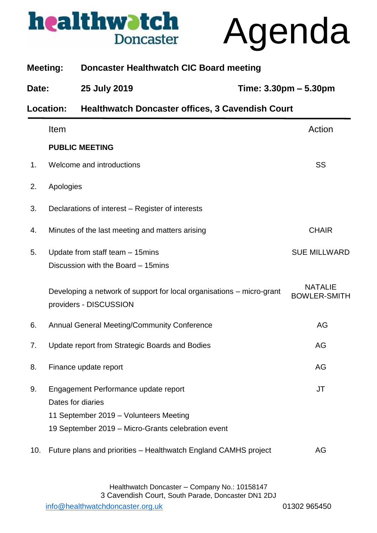

Agenda

|       | <b>Meeting:</b>  | <b>Doncaster Healthwatch CIC Board meeting</b>                                                  |                                       |
|-------|------------------|-------------------------------------------------------------------------------------------------|---------------------------------------|
| Date: |                  | 25 July 2019                                                                                    | Time: 3.30pm - 5.30pm                 |
|       | <b>Location:</b> | <b>Healthwatch Doncaster offices, 3 Cavendish Court</b>                                         |                                       |
|       | Item             |                                                                                                 | Action                                |
|       |                  | <b>PUBLIC MEETING</b>                                                                           |                                       |
| 1.    |                  | Welcome and introductions                                                                       | SS                                    |
| 2.    | Apologies        |                                                                                                 |                                       |
| 3.    |                  | Declarations of interest – Register of interests                                                |                                       |
| 4.    |                  | Minutes of the last meeting and matters arising                                                 | <b>CHAIR</b>                          |
| 5.    |                  | Update from staff team - 15mins<br>Discussion with the Board - 15 mins                          | <b>SUE MILLWARD</b>                   |
|       |                  | Developing a network of support for local organisations - micro-grant<br>providers - DISCUSSION | <b>NATALIE</b><br><b>BOWLER-SMITH</b> |
| 6.    |                  | Annual General Meeting/Community Conference                                                     | AG                                    |
| 7.    |                  | Update report from Strategic Boards and Bodies                                                  | AG                                    |
| 8.    |                  | Finance update report                                                                           | AG                                    |
| 9.    |                  | Engagement Performance update report<br>Dates for diaries                                       | JT                                    |
|       |                  | 11 September 2019 - Volunteers Meeting                                                          |                                       |
|       |                  | 19 September 2019 - Micro-Grants celebration event                                              |                                       |
| 10.   |                  | Future plans and priorities - Healthwatch England CAMHS project                                 | AG                                    |
|       |                  |                                                                                                 |                                       |

Healthwatch Doncaster – Company No.: 10158147 3 Cavendish Court, South Parade, Doncaster DN1 2DJ